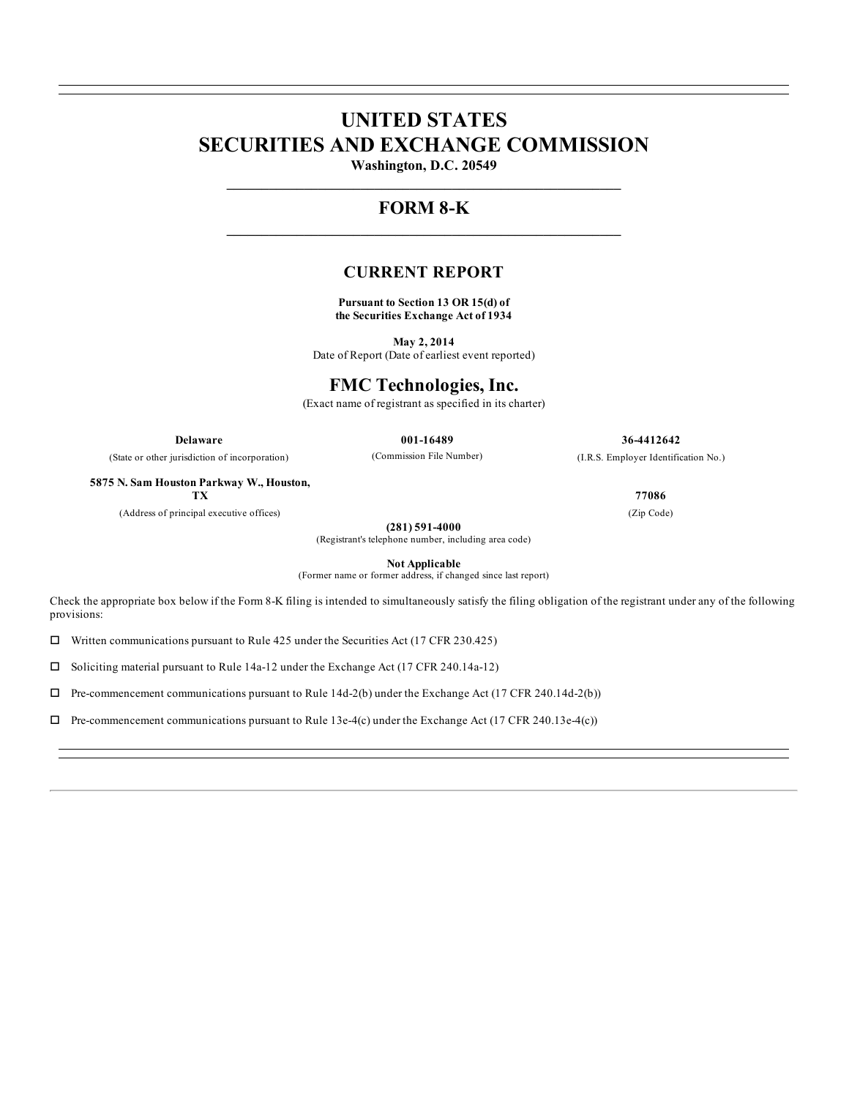# **UNITED STATES SECURITIES AND EXCHANGE COMMISSION**

**Washington, D.C. 20549 \_\_\_\_\_\_\_\_\_\_\_\_\_\_\_\_\_\_\_\_\_\_\_\_\_\_\_\_\_\_\_\_\_\_\_\_\_\_\_\_\_\_\_\_\_\_\_\_\_\_\_\_\_\_\_\_**

## **FORM 8-K \_\_\_\_\_\_\_\_\_\_\_\_\_\_\_\_\_\_\_\_\_\_\_\_\_\_\_\_\_\_\_\_\_\_\_\_\_\_\_\_\_\_\_\_\_\_\_\_\_\_\_\_\_\_\_\_**

### **CURRENT REPORT**

**Pursuant to Section 13 OR 15(d) of the Securities Exchange Act of 1934**

**May 2, 2014** Date of Report (Date of earliest event reported)

### **FMC Technologies, Inc.**

(Exact name of registrant as specified in its charter)

**Delaware 001-16489 36-4412642**

(State or other jurisdiction of incorporation)

**5875 N. Sam Houston Parkway W., Houston,**

**(281) 591-4000**

(Registrant's telephone number, including area code)

**Not Applicable**

(Former name or former address, if changed since last report)

Check the appropriate box below if the Form 8-K filing is intended to simultaneously satisfy the filing obligation of the registrant under any of the following provisions:

 $\square$  Written communications pursuant to Rule 425 under the Securities Act (17 CFR 230.425)

 $\square$  Soliciting material pursuant to Rule 14a-12 under the Exchange Act (17 CFR 240.14a-12)

 $\Box$  Pre-commencement communications pursuant to Rule 14d-2(b) under the Exchange Act (17 CFR 240.14d-2(b))

 $\Box$  Pre-commencement communications pursuant to Rule 13e-4(c) under the Exchange Act (17 CFR 240.13e-4(c))

(Commission File Number) (I.R.S. Employer Identification No.)

**TX 77086**

(Address of principal executive offices) (Zip Code)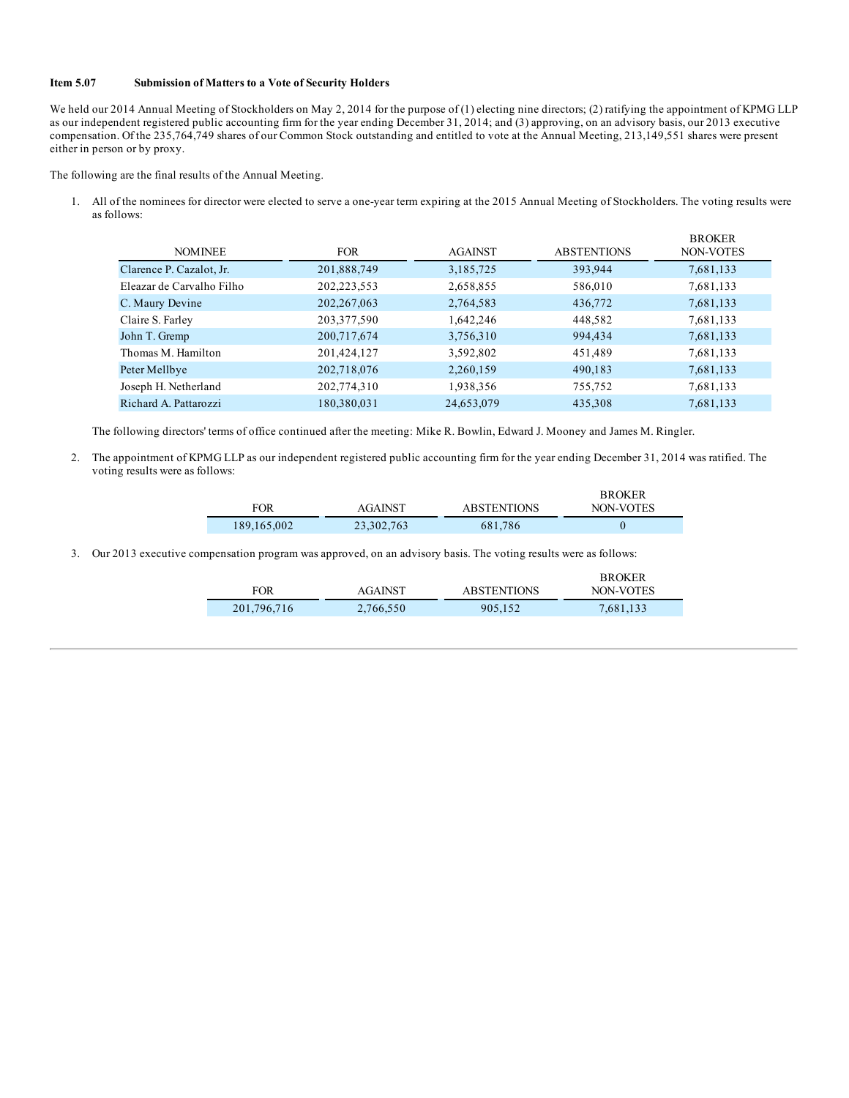#### **Item 5.07 Submission of Matters to a Vote of Security Holders**

We held our 2014 Annual Meeting of Stockholders on May 2, 2014 for the purpose of (1) electing nine directors; (2) ratifying the appointment of KPMG LLP as our independent registered public accounting firm for the year ending December 31, 2014; and (3) approving, on an advisory basis, our 2013 executive compensation. Of the 235,764,749 shares of our Common Stock outstanding and entitled to vote at the Annual Meeting, 213,149,551 shares were present either in person or by proxy.

The following are the final results of the Annual Meeting.

1. All of the nominees for director were elected to serve a one-year term expiring at the 2015 Annual Meeting of Stockholders. The voting results were as follows:

| <b>FOR</b>    | <b>AGAINST</b> | <b>ABSTENTIONS</b> | <b>BROKER</b><br>NON-VOTES |
|---------------|----------------|--------------------|----------------------------|
| 201,888,749   | 3,185,725      | 393,944            | 7,681,133                  |
| 202,223,553   | 2,658,855      | 586,010            | 7,681,133                  |
| 202, 267, 063 | 2,764,583      | 436,772            | 7,681,133                  |
| 203, 377, 590 | 1,642,246      | 448,582            | 7,681,133                  |
| 200,717,674   | 3,756,310      | 994,434            | 7,681,133                  |
| 201,424,127   | 3,592,802      | 451,489            | 7,681,133                  |
| 202,718,076   | 2,260,159      | 490,183            | 7,681,133                  |
| 202,774,310   | 1,938,356      | 755,752            | 7,681,133                  |
| 180,380,031   | 24,653,079     | 435,308            | 7,681,133                  |
|               |                |                    |                            |

The following directors' terms of office continued after the meeting: Mike R. Bowlin, Edward J. Mooney and James M. Ringler.

2. The appointment of KPMG LLP as our independent registered public accounting firm for the year ending December 31, 2014 was ratified. The voting results were as follows:

|             |              |                    | <b>BROKER</b> |
|-------------|--------------|--------------------|---------------|
| FOR         | AGAINST      | <b>ABSTENTIONS</b> | NON-VOTES     |
| 189,165,002 | 23, 302, 763 | 681,786            |               |

3. Our 2013 executive compensation program was approved, on an advisory basis. The voting results were as follows:

|             |                |                    | <b>BROKER</b> |
|-------------|----------------|--------------------|---------------|
| FOR         | <b>AGAINST</b> | <b>ABSTENTIONS</b> | NON-VOTES     |
| 201,796,716 | 2,766,550      | 905.152            | 7,681,133     |